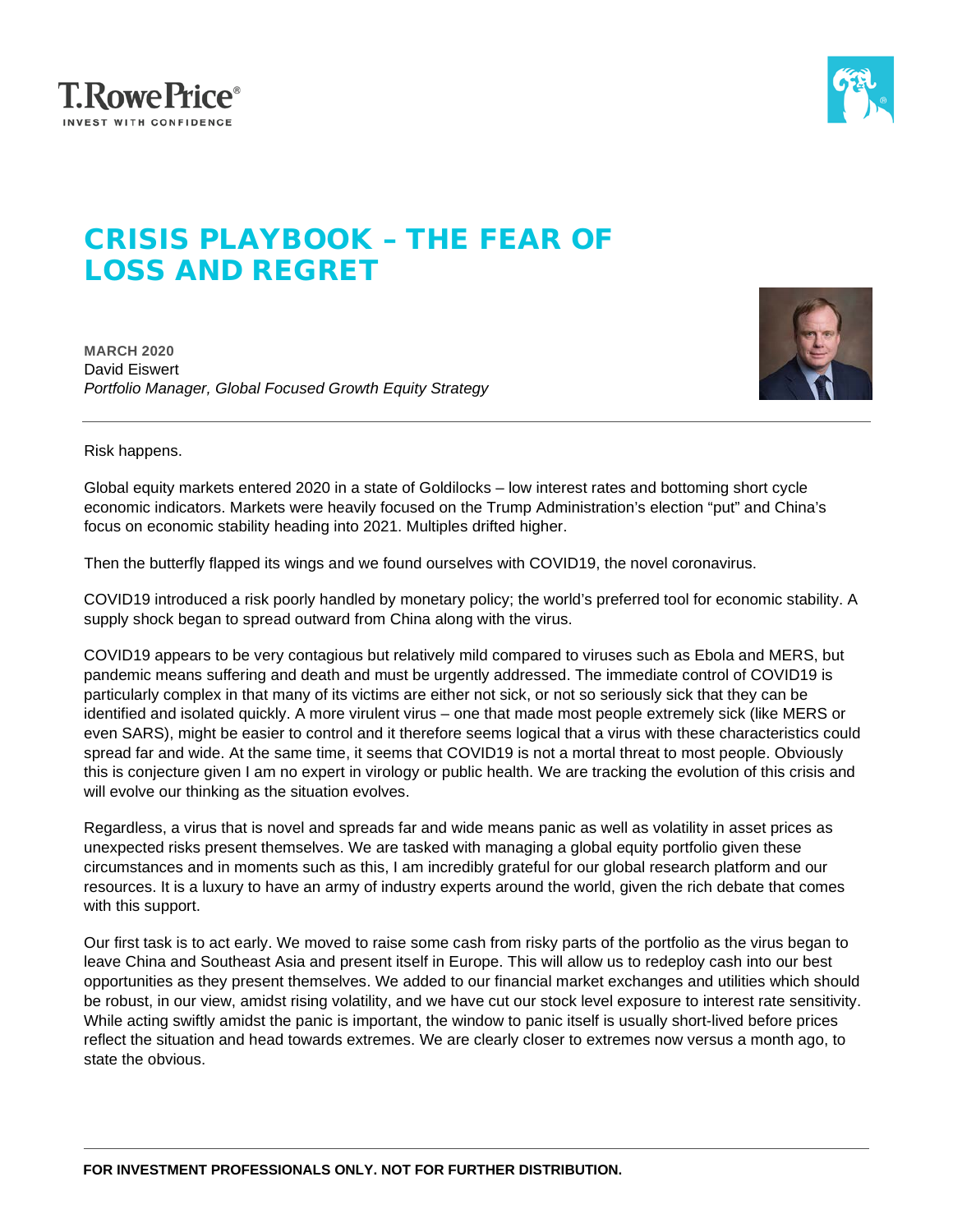



## CRISIS PLAYBOOK – THE FEAR OF LOSS AND REGRET

**MARCH 2020** David Eiswert *Portfolio Manager, Global Focused Growth Equity Strategy*



Risk happens.

Global equity markets entered 2020 in a state of Goldilocks – low interest rates and bottoming short cycle economic indicators. Markets were heavily focused on the Trump Administration's election "put" and China's focus on economic stability heading into 2021. Multiples drifted higher.

Then the butterfly flapped its wings and we found ourselves with COVID19, the novel coronavirus.

COVID19 introduced a risk poorly handled by monetary policy; the world's preferred tool for economic stability. A supply shock began to spread outward from China along with the virus.

COVID19 appears to be very contagious but relatively mild compared to viruses such as Ebola and MERS, but pandemic means suffering and death and must be urgently addressed. The immediate control of COVID19 is particularly complex in that many of its victims are either not sick, or not so seriously sick that they can be identified and isolated quickly. A more virulent virus – one that made most people extremely sick (like MERS or even SARS), might be easier to control and it therefore seems logical that a virus with these characteristics could spread far and wide. At the same time, it seems that COVID19 is not a mortal threat to most people. Obviously this is conjecture given I am no expert in virology or public health. We are tracking the evolution of this crisis and will evolve our thinking as the situation evolves.

Regardless, a virus that is novel and spreads far and wide means panic as well as volatility in asset prices as unexpected risks present themselves. We are tasked with managing a global equity portfolio given these circumstances and in moments such as this, I am incredibly grateful for our global research platform and our resources. It is a luxury to have an army of industry experts around the world, given the rich debate that comes with this support.

Our first task is to act early. We moved to raise some cash from risky parts of the portfolio as the virus began to leave China and Southeast Asia and present itself in Europe. This will allow us to redeploy cash into our best opportunities as they present themselves. We added to our financial market exchanges and utilities which should be robust, in our view, amidst rising volatility, and we have cut our stock level exposure to interest rate sensitivity. While acting swiftly amidst the panic is important, the window to panic itself is usually short-lived before prices reflect the situation and head towards extremes. We are clearly closer to extremes now versus a month ago, to state the obvious.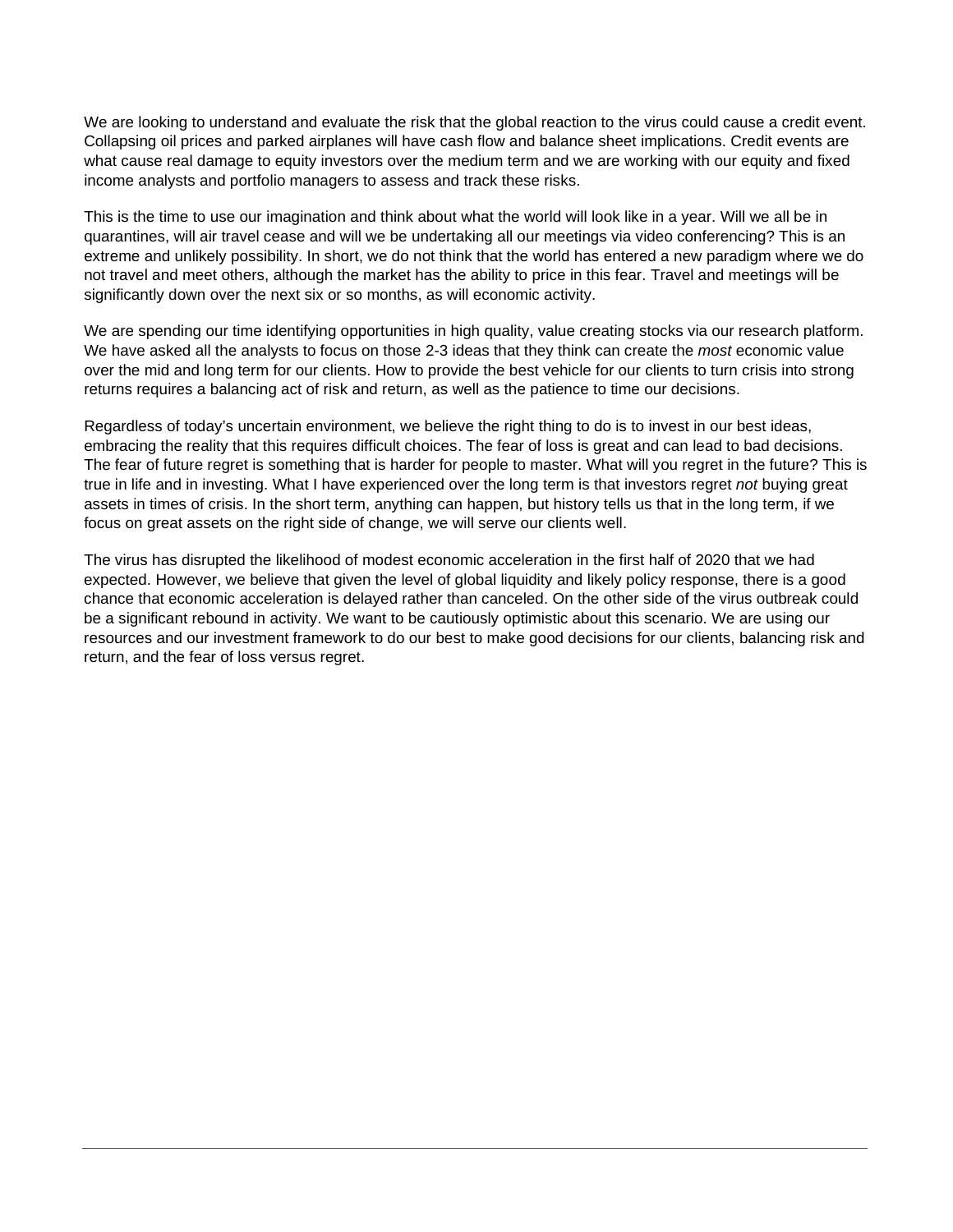We are looking to understand and evaluate the risk that the global reaction to the virus could cause a credit event. Collapsing oil prices and parked airplanes will have cash flow and balance sheet implications. Credit events are what cause real damage to equity investors over the medium term and we are working with our equity and fixed income analysts and portfolio managers to assess and track these risks.

This is the time to use our imagination and think about what the world will look like in a year. Will we all be in quarantines, will air travel cease and will we be undertaking all our meetings via video conferencing? This is an extreme and unlikely possibility. In short, we do not think that the world has entered a new paradigm where we do not travel and meet others, although the market has the ability to price in this fear. Travel and meetings will be significantly down over the next six or so months, as will economic activity.

We are spending our time identifying opportunities in high quality, value creating stocks via our research platform. We have asked all the analysts to focus on those 2-3 ideas that they think can create the *most* economic value over the mid and long term for our clients. How to provide the best vehicle for our clients to turn crisis into strong returns requires a balancing act of risk and return, as well as the patience to time our decisions.

Regardless of today's uncertain environment, we believe the right thing to do is to invest in our best ideas, embracing the reality that this requires difficult choices. The fear of loss is great and can lead to bad decisions. The fear of future regret is something that is harder for people to master. What will you regret in the future? This is true in life and in investing. What I have experienced over the long term is that investors regret *not* buying great assets in times of crisis. In the short term, anything can happen, but history tells us that in the long term, if we focus on great assets on the right side of change, we will serve our clients well.

The virus has disrupted the likelihood of modest economic acceleration in the first half of 2020 that we had expected. However, we believe that given the level of global liquidity and likely policy response, there is a good chance that economic acceleration is delayed rather than canceled. On the other side of the virus outbreak could be a significant rebound in activity. We want to be cautiously optimistic about this scenario. We are using our resources and our investment framework to do our best to make good decisions for our clients, balancing risk and return, and the fear of loss versus regret.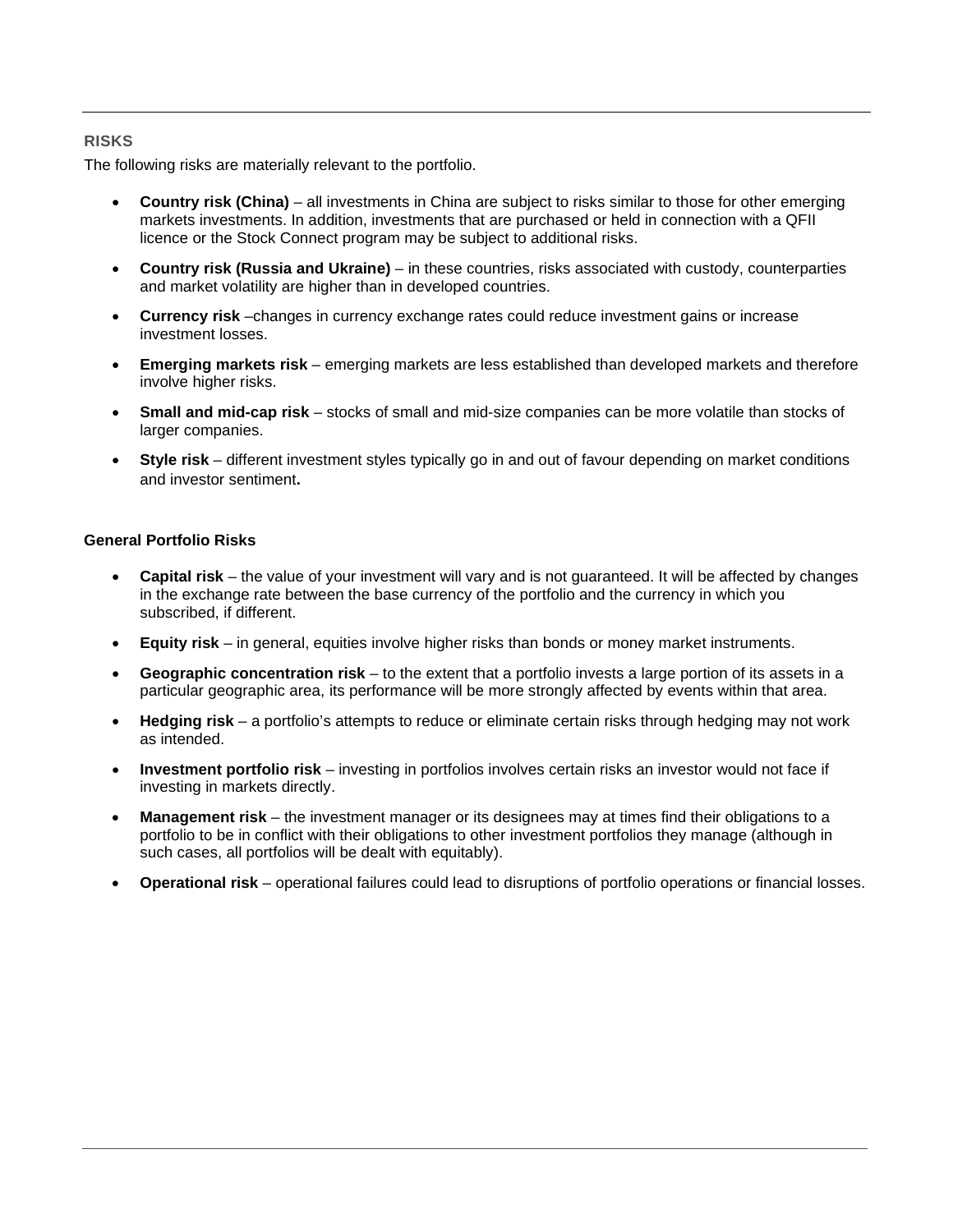## **RISKS**

The following risks are materially relevant to the portfolio.

- **Country risk (China)**  all investments in China are subject to risks similar to those for other emerging markets investments. In addition, investments that are purchased or held in connection with a QFII licence or the Stock Connect program may be subject to additional risks.
- **Country risk (Russia and Ukraine)**  in these countries, risks associated with custody, counterparties and market volatility are higher than in developed countries.
- **Currency risk** –changes in currency exchange rates could reduce investment gains or increase investment losses.
- **Emerging markets risk**  emerging markets are less established than developed markets and therefore involve higher risks.
- **Small and mid-cap risk**  stocks of small and mid-size companies can be more volatile than stocks of larger companies.
- **Style risk**  different investment styles typically go in and out of favour depending on market conditions and investor sentiment**.**

## **General Portfolio Risks**

- **Capital risk**  the value of your investment will vary and is not guaranteed. It will be affected by changes in the exchange rate between the base currency of the portfolio and the currency in which you subscribed, if different.
- **Equity risk**  in general, equities involve higher risks than bonds or money market instruments.
- **Geographic concentration risk**  to the extent that a portfolio invests a large portion of its assets in a particular geographic area, its performance will be more strongly affected by events within that area.
- **Hedging risk**  a portfolio's attempts to reduce or eliminate certain risks through hedging may not work as intended.
- **Investment portfolio risk**  investing in portfolios involves certain risks an investor would not face if investing in markets directly.
- **Management risk**  the investment manager or its designees may at times find their obligations to a portfolio to be in conflict with their obligations to other investment portfolios they manage (although in such cases, all portfolios will be dealt with equitably).
- **Operational risk** operational failures could lead to disruptions of portfolio operations or financial losses.